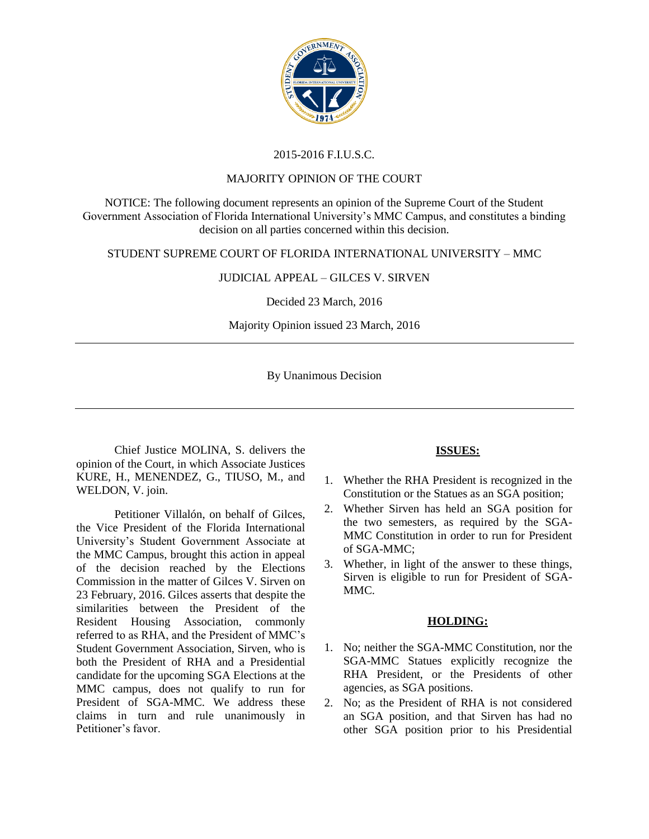

# 2015-2016 F.I.U.S.C.

#### MAJORITY OPINION OF THE COURT

NOTICE: The following document represents an opinion of the Supreme Court of the Student Government Association of Florida International University's MMC Campus, and constitutes a binding decision on all parties concerned within this decision.

### STUDENT SUPREME COURT OF FLORIDA INTERNATIONAL UNIVERSITY – MMC

## JUDICIAL APPEAL – GILCES V. SIRVEN

Decided 23 March, 2016

Majority Opinion issued 23 March, 2016

By Unanimous Decision

Chief Justice MOLINA, S. delivers the opinion of the Court, in which Associate Justices KURE, H., MENENDEZ, G., TIUSO, M., and WELDON, V. join.

Petitioner Villa[lón,](https://www.facebook.com/kirk.villalon.7) on behalf of Gilces, the Vice President of the Florida International University's Student Government Associate at the MMC Campus, brought this action in appeal of the decision reached by the Elections Commission in the matter of Gilces V. Sirven on 23 February, 2016. Gilces asserts that despite the similarities between the President of the Resident Housing Association, commonly referred to as RHA, and the President of MMC's Student Government Association, Sirven, who is both the President of RHA and a Presidential candidate for the upcoming SGA Elections at the MMC campus, does not qualify to run for President of SGA-MMC. We address these claims in turn and rule unanimously in Petitioner's favor.

### **ISSUES:**

- 1. Whether the RHA President is recognized in the Constitution or the Statues as an SGA position;
- 2. Whether Sirven has held an SGA position for the two semesters, as required by the SGA-MMC Constitution in order to run for President of SGA-MMC;
- 3. Whether, in light of the answer to these things, Sirven is eligible to run for President of SGA-MMC.

### **HOLDING:**

- 1. No; neither the SGA-MMC Constitution, nor the SGA-MMC Statues explicitly recognize the RHA President, or the Presidents of other agencies, as SGA positions.
- 2. No; as the President of RHA is not considered an SGA position, and that Sirven has had no other SGA position prior to his Presidential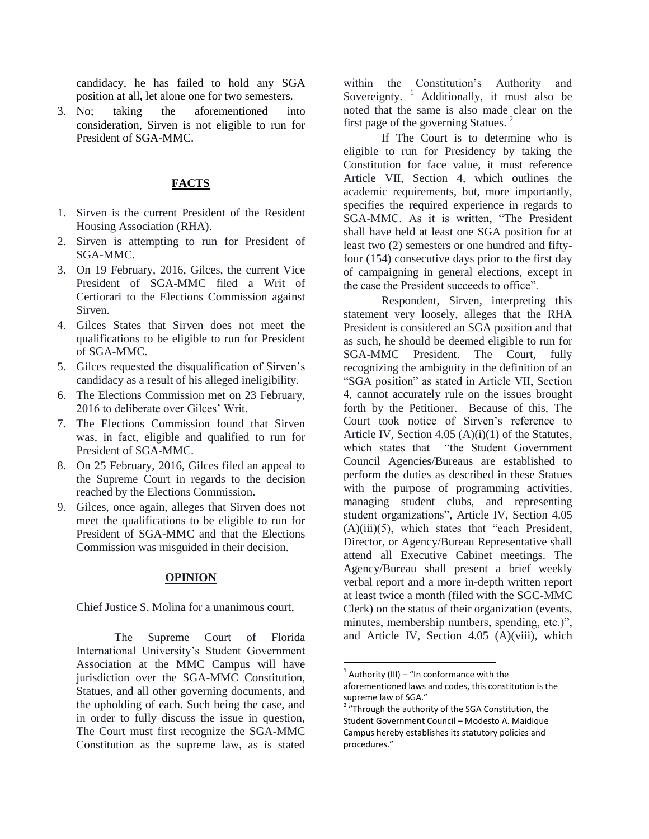candidacy, he has failed to hold any SGA position at all, let alone one for two semesters.

3. No; taking the aforementioned into consideration, Sirven is not eligible to run for President of SGA-MMC.

## **FACTS**

- 1. Sirven is the current President of the Resident Housing Association (RHA).
- 2. Sirven is attempting to run for President of SGA-MMC.
- 3. On 19 February, 2016, Gilces, the current Vice President of SGA-MMC filed a Writ of Certiorari to the Elections Commission against Sirven.
- 4. Gilces States that Sirven does not meet the qualifications to be eligible to run for President of SGA-MMC.
- 5. Gilces requested the disqualification of Sirven's candidacy as a result of his alleged ineligibility.
- 6. The Elections Commission met on 23 February, 2016 to deliberate over Gilces' Writ.
- 7. The Elections Commission found that Sirven was, in fact, eligible and qualified to run for President of SGA-MMC.
- 8. On 25 February, 2016, Gilces filed an appeal to the Supreme Court in regards to the decision reached by the Elections Commission.
- 9. Gilces, once again, alleges that Sirven does not meet the qualifications to be eligible to run for President of SGA-MMC and that the Elections Commission was misguided in their decision.

#### **OPINION**

Chief Justice S. Molina for a unanimous court,

The Supreme Court of Florida International University's Student Government Association at the MMC Campus will have jurisdiction over the SGA-MMC Constitution, Statues, and all other governing documents, and the upholding of each. Such being the case, and in order to fully discuss the issue in question, The Court must first recognize the SGA-MMC Constitution as the supreme law, as is stated

within the Constitution's Authority and Sovereignty.  $\frac{1}{1}$  Additionally, it must also be noted that the same is also made clear on the first page of the governing Statues.<sup>2</sup>

If The Court is to determine who is eligible to run for Presidency by taking the Constitution for face value, it must reference Article VII, Section 4, which outlines the academic requirements, but, more importantly, specifies the required experience in regards to SGA-MMC. As it is written, "The President shall have held at least one SGA position for at least two (2) semesters or one hundred and fiftyfour (154) consecutive days prior to the first day of campaigning in general elections, except in the case the President succeeds to office".

Respondent, Sirven, interpreting this statement very loosely, alleges that the RHA President is considered an SGA position and that as such, he should be deemed eligible to run for SGA-MMC President. The Court, fully recognizing the ambiguity in the definition of an "SGA position" as stated in Article VII, Section 4, cannot accurately rule on the issues brought forth by the Petitioner. Because of this, The Court took notice of Sirven's reference to Article IV, Section 4.05 (A)(i)(1) of the Statutes, which states that "the Student Government Council Agencies/Bureaus are established to perform the duties as described in these Statues with the purpose of programming activities, managing student clubs, and representing student organizations", Article IV, Section 4.05 (A)(iii)(5), which states that "each President, Director, or Agency/Bureau Representative shall attend all Executive Cabinet meetings. The Agency/Bureau shall present a brief weekly verbal report and a more in-depth written report at least twice a month (filed with the SGC-MMC Clerk) on the status of their organization (events, minutes, membership numbers, spending, etc.)", and Article IV, Section 4.05 (A)(viii), which

 $\overline{\phantom{a}}$ 

 $1$  Authority (III) – "In conformance with the aforementioned laws and codes, this constitution is the supreme law of SGA."

<sup>&</sup>lt;sup>2</sup> "Through the authority of the SGA Constitution, the Student Government Council – Modesto A. Maidique Campus hereby establishes its statutory policies and procedures."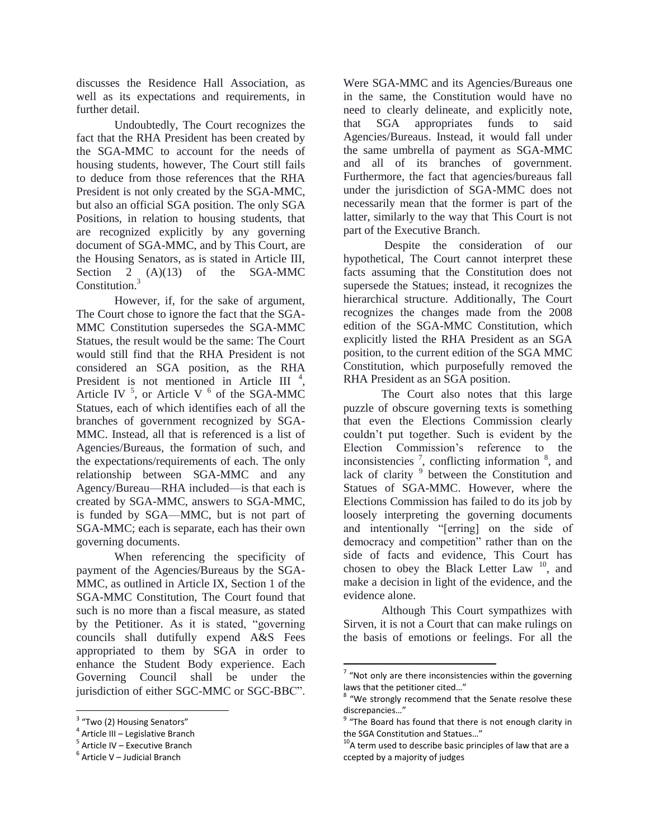discusses the Residence Hall Association, as well as its expectations and requirements, in further detail.

Undoubtedly, The Court recognizes the fact that the RHA President has been created by the SGA-MMC to account for the needs of housing students, however, The Court still fails to deduce from those references that the RHA President is not only created by the SGA-MMC, but also an official SGA position. The only SGA Positions, in relation to housing students, that are recognized explicitly by any governing document of SGA-MMC, and by This Court, are the Housing Senators, as is stated in Article III, Section 2 (A)(13) of the SGA-MMC Constitution.<sup>3</sup>

However, if, for the sake of argument, The Court chose to ignore the fact that the SGA-MMC Constitution supersedes the SGA-MMC Statues, the result would be the same: The Court would still find that the RHA President is not considered an SGA position, as the RHA President is not mentioned in Article III<sup>4</sup>, Article IV  $<sup>5</sup>$ , or Article V  $<sup>6</sup>$  of the SGA-MMC</sup></sup> Statues, each of which identifies each of all the branches of government recognized by SGA-MMC. Instead, all that is referenced is a list of Agencies/Bureaus, the formation of such, and the expectations/requirements of each. The only relationship between SGA-MMC and any Agency/Bureau—RHA included—is that each is created by SGA-MMC, answers to SGA-MMC, is funded by SGA—MMC, but is not part of SGA-MMC; each is separate, each has their own governing documents.

When referencing the specificity of payment of the Agencies/Bureaus by the SGA-MMC, as outlined in Article IX, Section 1 of the SGA-MMC Constitution, The Court found that such is no more than a fiscal measure, as stated by the Petitioner. As it is stated, "governing councils shall dutifully expend A&S Fees appropriated to them by SGA in order to enhance the Student Body experience. Each Governing Council shall be under the jurisdiction of either SGC-MMC or SGC-BBC".

 $\overline{a}$ 

Were SGA-MMC and its Agencies/Bureaus one in the same, the Constitution would have no need to clearly delineate, and explicitly note, that SGA appropriates funds to said Agencies/Bureaus. Instead, it would fall under the same umbrella of payment as SGA-MMC and all of its branches of government. Furthermore, the fact that agencies/bureaus fall under the jurisdiction of SGA-MMC does not necessarily mean that the former is part of the latter, similarly to the way that This Court is not part of the Executive Branch.

Despite the consideration of our hypothetical, The Court cannot interpret these facts assuming that the Constitution does not supersede the Statues; instead, it recognizes the hierarchical structure. Additionally, The Court recognizes the changes made from the 2008 edition of the SGA-MMC Constitution, which explicitly listed the RHA President as an SGA position, to the current edition of the SGA MMC Constitution, which purposefully removed the RHA President as an SGA position.

The Court also notes that this large puzzle of obscure governing texts is something that even the Elections Commission clearly couldn't put together. Such is evident by the Election Commission's reference to the inconsistencies  $\frac{7}{1}$ , conflicting information  $\frac{8}{1}$ , and lack of clarity<sup>9</sup> between the Constitution and Statues of SGA-MMC. However, where the Elections Commission has failed to do its job by loosely interpreting the governing documents and intentionally "[erring] on the side of democracy and competition" rather than on the side of facts and evidence, This Court has chosen to obey the Black Letter Law  $^{10}$ , and make a decision in light of the evidence, and the evidence alone.

Although This Court sympathizes with Sirven, it is not a Court that can make rulings on the basis of emotions or feelings. For all the

 $\overline{a}$ 

<sup>&</sup>lt;sup>3</sup> "Two (2) Housing Senators"

<sup>4</sup> Article III – Legislative Branch

<sup>&</sup>lt;sup>5</sup> Article IV – Executive Branch

<sup>&</sup>lt;sup>6</sup> Article V – Judicial Branch

 $7$  "Not only are there inconsistencies within the governing laws that the petitioner cited…"

<sup>&</sup>lt;sup>8</sup> "We strongly recommend that the Senate resolve these discrepancies…"

<sup>&</sup>lt;sup>9</sup> "The Board has found that there is not enough clarity in the SGA Constitution and Statues…"

 $10<sup>10</sup>$ A term used to describe basic principles of law that are a ccepted by a majority of judges